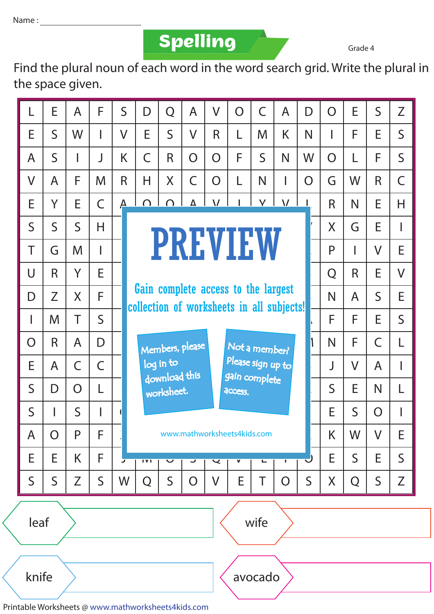Name :

**Spelling**

Grade 4

Find the plural noun of each word in the word search grid. Write the plural in the space given.

|                  | E            | $\overline{A}$ | F              | $\mathsf{S}$   | D                                                                                                                               | Q            | $\overline{A}$          | $\vee$         | $\overline{O}$ | $\overline{C}$ | $\overline{A}$ | D            | $\overline{O}$ | E            | $\overline{S}$ | Z              |
|------------------|--------------|----------------|----------------|----------------|---------------------------------------------------------------------------------------------------------------------------------|--------------|-------------------------|----------------|----------------|----------------|----------------|--------------|----------------|--------------|----------------|----------------|
| E                | $\mathsf{S}$ | W              | I              | $\overline{V}$ | E                                                                                                                               | $\mathsf{S}$ | $\overline{\mathsf{V}}$ | R              | L              | M              | K              | N            |                | F            | E              | $\mathsf{S}$   |
| A                | $\mathsf S$  |                | J              | K              | $\overline{C}$                                                                                                                  | R            | $\overline{O}$          | $\overline{O}$ | F              | $\mathsf{S}$   | N              | W            | O              |              | F              | $\mathsf{S}$   |
| $\vee$           | A            | F              | M              | R              | H                                                                                                                               | X            | $\overline{C}$          | $\overline{O}$ | L              | N              | I              | O            | G              | W            | $\mathsf{R}$   | $\overline{C}$ |
| E                | Y            | E              | $\overline{C}$ | $\Delta$       | $\cap$                                                                                                                          | $\cap$       | Δ                       | $\overline{V}$ |                | $\checkmark$   | $\overline{V}$ |              | R              | N            | E              | H              |
| $\mathsf{S}$     | $\mathsf{S}$ | $\mathsf{S}$   | H              |                | <b>PREVIEW</b>                                                                                                                  |              |                         |                |                |                |                |              |                | G            | E              |                |
| T                | G            | M              | I              |                |                                                                                                                                 |              |                         |                | P              |                | $\vee$         | E            |                |              |                |                |
| $\overline{U}$   | R            | Y              | E              |                |                                                                                                                                 |              |                         |                | Q              | R              | E              | $\sqrt{ }$   |                |              |                |                |
| D                | Z            | X              | F              |                | Gain complete access to the largest<br>collection of worksheets in all subjects!                                                |              |                         |                |                |                |                |              |                | A            | $\mathsf{S}$   | E              |
|                  | M            | T              | $\mathsf{S}$   |                |                                                                                                                                 |              |                         |                |                |                |                |              |                | F            | E              | $\mathsf{S}$   |
| O                | R            | A              | D              |                | Members, please<br>Not a member?<br>Please sign up to<br>log in to<br>download this<br>gain complete<br>worksheet.<br>access.   |              |                         |                |                |                |                |              | N              | F            | $\overline{C}$ |                |
| E                | A            | $\mathsf C$    | $\mathsf{C}$   |                |                                                                                                                                 |              |                         |                |                |                |                |              | J              | $\sqrt{}$    | A              |                |
| $\mathsf{S}$     | D            | $\overline{O}$ | L              |                |                                                                                                                                 |              |                         |                |                |                |                |              | $\mathsf{S}$   | E            | N              | L              |
| $\mathsf S$      |              | $\mathsf{S}$   |                |                | E<br>$\mathsf S$<br>O                                                                                                           |              |                         |                |                |                |                |              |                |              |                |                |
| A                | O            | P              | F              |                | www.mathworksheets4kids.com                                                                                                     |              |                         |                |                |                |                |              | K              | W            | $\vee$         | E              |
| E                | E            | K              | F              | J              | $\overline{\phantom{a}}$<br>IVI<br>$\overline{\mathbf{v}}$<br>$\overline{\mathbf{v}}$<br>$\overline{\mathbf{v}}$<br>Е<br>پ<br>т |              |                         |                |                |                |                |              |                | $\mathsf{S}$ | E.             | $\mathsf{S}$   |
| S                | $\mathsf S$  | Z              | $\mathsf S$    | W              | Q                                                                                                                               | $\mathsf S$  | O                       | V              | E              | Τ              | O              | $\mathsf{S}$ | X              | Q            | $\mathsf S$    | Z              |
|                  | leaf<br>wife |                |                |                |                                                                                                                                 |              |                         |                |                |                |                |              |                |              |                |                |
| knife<br>avocado |              |                |                |                |                                                                                                                                 |              |                         |                |                |                |                |              |                |              |                |                |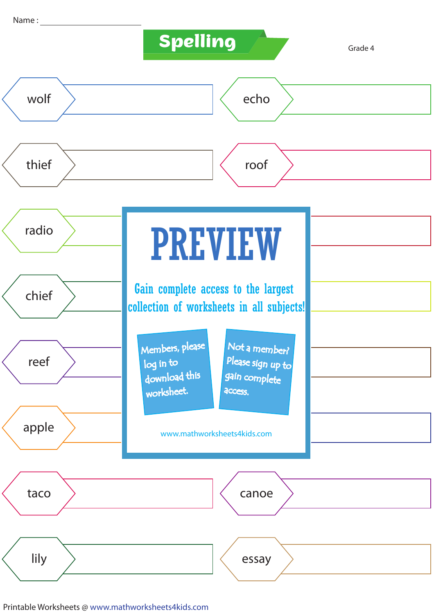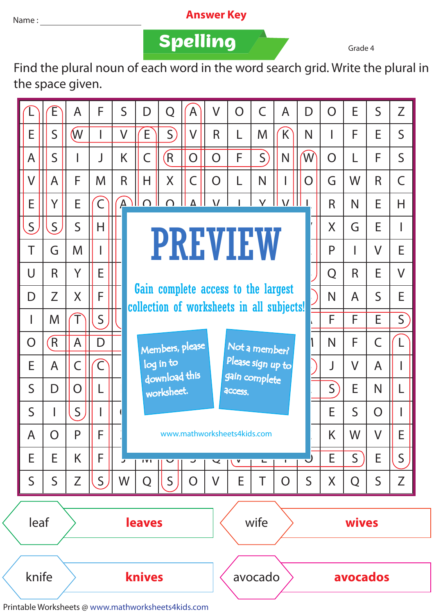## Name : **Answer Key**

**Spelling**

Grade 4

Find the plural noun of each word in the word search grid. Write the plural in the space given.